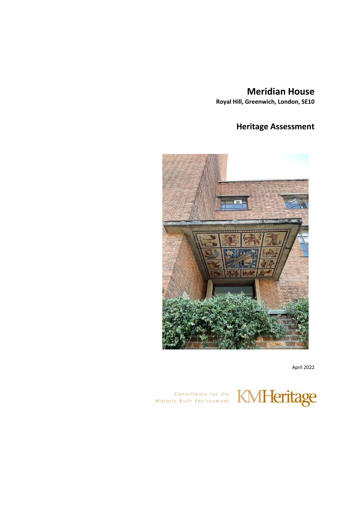# **Meridian House**

**Royal Hill, Greenwich, London, SE10**

# **Heritage Assessment**



April 2022

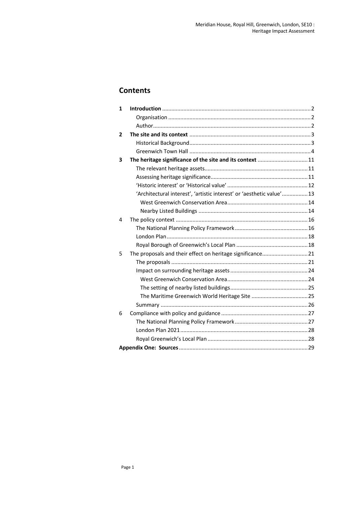### **Contents**

| $\mathbf{1}$   |                                                                       |  |
|----------------|-----------------------------------------------------------------------|--|
|                |                                                                       |  |
|                |                                                                       |  |
| $\overline{2}$ |                                                                       |  |
|                |                                                                       |  |
|                |                                                                       |  |
| 3              | The heritage significance of the site and its context  11             |  |
|                |                                                                       |  |
|                |                                                                       |  |
|                |                                                                       |  |
|                | 'Architectural interest', 'artistic interest' or 'aesthetic value' 13 |  |
|                |                                                                       |  |
|                |                                                                       |  |
| 4              |                                                                       |  |
|                |                                                                       |  |
|                |                                                                       |  |
|                |                                                                       |  |
| 5              | The proposals and their effect on heritage significance 21            |  |
|                |                                                                       |  |
|                |                                                                       |  |
|                |                                                                       |  |
|                |                                                                       |  |
|                |                                                                       |  |
|                |                                                                       |  |
| 6              |                                                                       |  |
|                |                                                                       |  |
|                |                                                                       |  |
|                |                                                                       |  |
|                |                                                                       |  |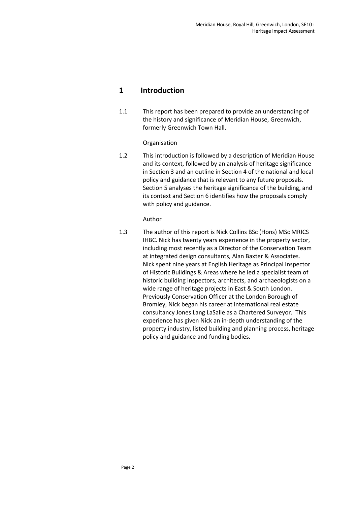### **1 Introduction**

1.1 This report has been prepared to provide an understanding of the history and significance of Meridian House, Greenwich, formerly Greenwich Town Hall.

### Organisation

1.2 This introduction is followed by a description of Meridian House and its context, followed by an analysis of heritage significance in Section 3 and an outline in Section 4 of the national and local policy and guidance that is relevant to any future proposals. Section 5 analyses the heritage significance of the building, and its context and Section 6 identifies how the proposals comply with policy and guidance.

### Author

1.3 The author of this report is Nick Collins BSc (Hons) MSc MRICS IHBC. Nick has twenty years experience in the property sector, including most recently as a Director of the Conservation Team at integrated design consultants, Alan Baxter & Associates. Nick spent nine years at English Heritage as Principal Inspector of Historic Buildings & Areas where he led a specialist team of historic building inspectors, architects, and archaeologists on a wide range of heritage projects in East & South London. Previously Conservation Officer at the London Borough of Bromley, Nick began his career at international real estate consultancy Jones Lang LaSalle as a Chartered Surveyor. This experience has given Nick an in-depth understanding of the property industry, listed building and planning process, heritage policy and guidance and funding bodies.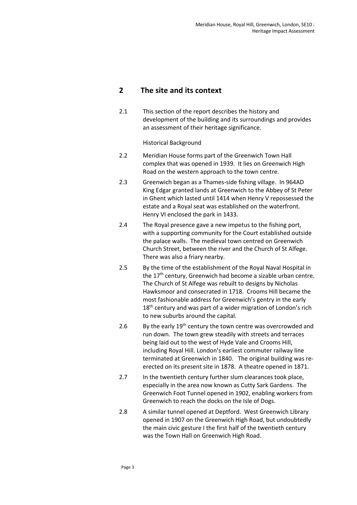### **2 The site and its context**

2.1 This section of the report describes the history and development of the building and its surroundings and provides an assessment of their heritage significance.

Historical Background

- 2.2 Meridian House forms part of the Greenwich Town Hall complex that was opened in 1939. It lies on Greenwich High Road on the western approach to the town centre.
- 2.3 Greenwich began as a Thames-side fishing village. In 964AD King Edgar granted lands at Greenwich to the Abbey of St Peter in Ghent which lasted until 1414 when Henry V repossessed the estate and a Royal seat was established on the waterfront. Henry VI enclosed the park in 1433.
- 2.4 The Royal presence gave a new impetus to the fishing port, with a supporting community for the Court established outside the palace walls. The medieval town centred on Greenwich Church Street, between the river and the Church of St Alfege. There was also a friary nearby.
- 2.5 By the time of the establishment of the Royal Naval Hospital in the  $17<sup>th</sup>$  century, Greenwich had become a sizable urban centre. The Church of St Alfege was rebuilt to designs by Nicholas Hawksmoor and consecrated in 1718. Crooms Hill became the most fashionable address for Greenwich's gentry in the early  $18<sup>th</sup>$  century and was part of a wider migration of London's rich to new suburbs around the capital.
- 2.6 By the early  $19<sup>th</sup>$  century the town centre was overcrowded and run down. The town grew steadily with streets and terraces being laid out to the west of Hyde Vale and Crooms Hill, including Royal Hill. London's earliest commuter railway line terminated at Greenwich in 1840. The original building was reerected on its present site in 1878. A theatre opened in 1871.
- 2.7 In the twentieth century further slum clearances took place, especially in the area now known as Cutty Sark Gardens. The Greenwich Foot Tunnel opened in 1902, enabling workers from Greenwich to reach the docks on the Isle of Dogs.
- 2.8 A similar tunnel opened at Deptford. West Greenwich Library opened in 1907 on the Greenwich High Road, but undoubtedly the main civic gesture I the first half of the twentieth century was the Town Hall on Greenwich High Road.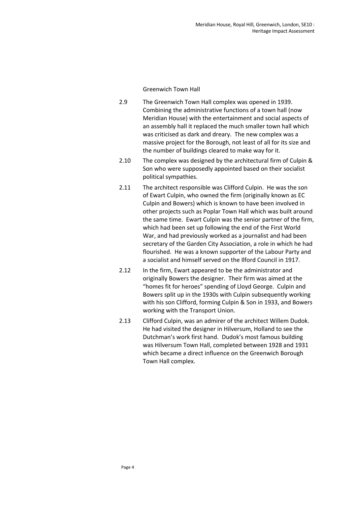Greenwich Town Hall

- 2.9 The Greenwich Town Hall complex was opened in 1939. Combining the administrative functions of a town hall (now Meridian House) with the entertainment and social aspects of an assembly hall it replaced the much smaller town hall which was criticised as dark and dreary. The new complex was a massive project for the Borough, not least of all for its size and the number of buildings cleared to make way for it.
- 2.10 The complex was designed by the architectural firm of Culpin & Son who were supposedly appointed based on their socialist political sympathies.
- 2.11 The architect responsible was Clifford Culpin. He was the son of Ewart Culpin, who owned the firm (originally known as EC Culpin and Bowers) which is known to have been involved in other projects such as Poplar Town Hall which was built around the same time. Ewart Culpin was the senior partner of the firm, which had been set up following the end of the First World War, and had previously worked as a journalist and had been secretary of the Garden City Association, a role in which he had flourished. He was a known supporter of the Labour Party and a socialist and himself served on the Ilford Council in 1917.
- 2.12 In the firm, Ewart appeared to be the administrator and originally Bowers the designer. Their firm was aimed at the "homes fit for heroes" spending of Lloyd George. Culpin and Bowers split up in the 1930s with Culpin subsequently working with his son Clifford, forming Culpin & Son in 1933, and Bowers working with the Transport Union.
- 2.13 Clifford Culpin, was an admirer of the architect Willem Dudok. He had visited the designer in Hilversum, Holland to see the Dutchman's work first hand. Dudok's most famous building was Hilversum Town Hall, completed between 1928 and 1931 which became a direct influence on the Greenwich Borough Town Hall complex.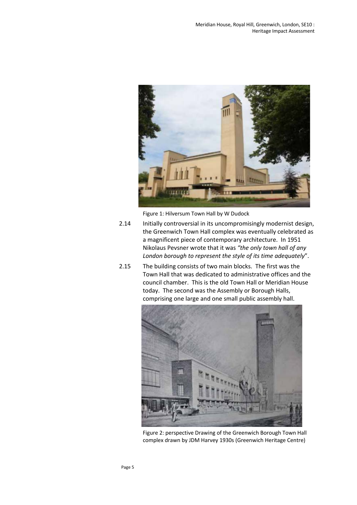

Figure 1: Hilversum Town Hall by W Dudock

- 2.14 Initially controversial in its uncompromisingly modernist design, the Greenwich Town Hall complex was eventually celebrated as a magnificent piece of contemporary architecture. In 1951 Nikolaus Pevsner wrote that it was *"the only town hall of any London borough to represent the style of its time adequately*".
- 2.15 The building consists of two main blocks. The first was the Town Hall that was dedicated to administrative offices and the council chamber. This is the old Town Hall or Meridian House today. The second was the Assembly or Borough Halls, comprising one large and one small public assembly hall.



Figure 2: perspective Drawing of the Greenwich Borough Town Hall complex drawn by JDM Harvey 1930s (Greenwich Heritage Centre)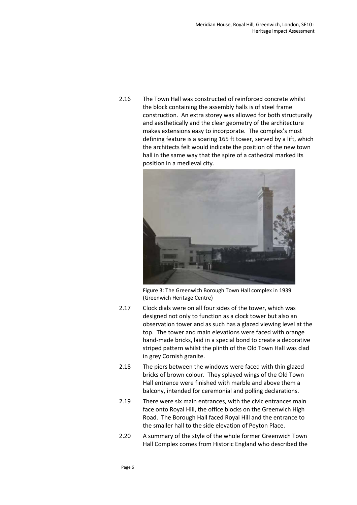2.16 The Town Hall was constructed of reinforced concrete whilst the block containing the assembly halls is of steel frame construction. An extra storey was allowed for both structurally and aesthetically and the clear geometry of the architecture makes extensions easy to incorporate. The complex's most defining feature is a soaring 165 ft tower, served by a lift, which the architects felt would indicate the position of the new town hall in the same way that the spire of a cathedral marked its position in a medieval city.



Figure 3: The Greenwich Borough Town Hall complex in 1939 (Greenwich Heritage Centre)

- 2.17 Clock dials were on all four sides of the tower, which was designed not only to function as a clock tower but also an observation tower and as such has a glazed viewing level at the top. The tower and main elevations were faced with orange hand-made bricks, laid in a special bond to create a decorative striped pattern whilst the plinth of the Old Town Hall was clad in grey Cornish granite.
- 2.18 The piers between the windows were faced with thin glazed bricks of brown colour. They splayed wings of the Old Town Hall entrance were finished with marble and above them a balcony, intended for ceremonial and polling declarations.
- 2.19 There were six main entrances, with the civic entrances main face onto Royal Hill, the office blocks on the Greenwich High Road. The Borough Hall faced Royal Hill and the entrance to the smaller hall to the side elevation of Peyton Place.
- 2.20 A summary of the style of the whole former Greenwich Town Hall Complex comes from Historic England who described the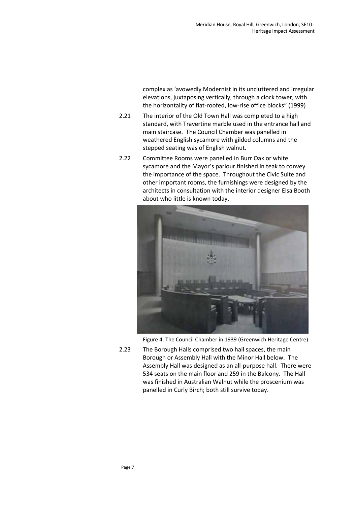complex as 'avowedly Modernist in its uncluttered and irregular elevations, juxtaposing vertically, through a clock tower, with the horizontality of flat-roofed, low-rise office blocks" (1999)

- 2.21 The interior of the Old Town Hall was completed to a high standard, with Travertine marble used in the entrance hall and main staircase. The Council Chamber was panelled in weathered English sycamore with gilded columns and the stepped seating was of English walnut.
- 2.22 Committee Rooms were panelled in Burr Oak or white sycamore and the Mayor's parlour finished in teak to convey the importance of the space. Throughout the Civic Suite and other important rooms, the furnishings were designed by the architects in consultation with the interior designer Elsa Booth about who little is known today.



Figure 4: The Council Chamber in 1939 (Greenwich Heritage Centre)

2.23 The Borough Halls comprised two hall spaces, the main Borough or Assembly Hall with the Minor Hall below. The Assembly Hall was designed as an all-purpose hall. There were 534 seats on the main floor and 259 in the Balcony. The Hall was finished in Australian Walnut while the proscenium was panelled in Curly Birch; both still survive today.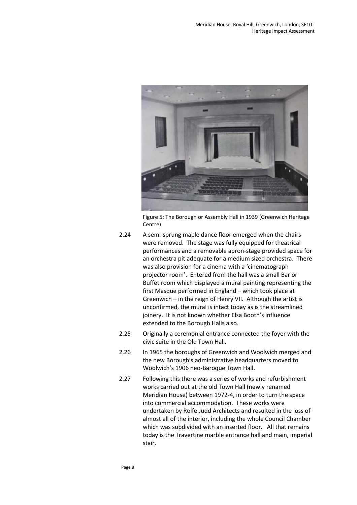

Figure 5: The Borough or Assembly Hall in 1939 (Greenwich Heritage Centre)

- 2.24 A semi-sprung maple dance floor emerged when the chairs were removed. The stage was fully equipped for theatrical performances and a removable apron-stage provided space for an orchestra pit adequate for a medium sized orchestra. There was also provision for a cinema with a 'cinematograph projector room'. Entered from the hall was a small Bar or Buffet room which displayed a mural painting representing the first Masque performed in England – which took place at Greenwich – in the reign of Henry VII. Although the artist is unconfirmed, the mural is intact today as is the streamlined joinery. It is not known whether Elsa Booth's influence extended to the Borough Halls also.
- 2.25 Originally a ceremonial entrance connected the foyer with the civic suite in the Old Town Hall.
- 2.26 In 1965 the boroughs of Greenwich and Woolwich merged and the new Borough's administrative headquarters moved to Woolwich's 1906 neo-Baroque Town Hall.
- 2.27 Following this there was a series of works and refurbishment works carried out at the old Town Hall (newly renamed Meridian House) between 1972-4, in order to turn the space into commercial accommodation. These works were undertaken by Rolfe Judd Architects and resulted in the loss of almost all of the interior, including the whole Council Chamber which was subdivided with an inserted floor. All that remains today is the Travertine marble entrance hall and main, imperial stair.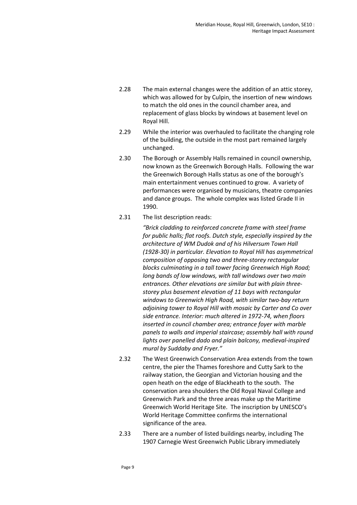- 2.28 The main external changes were the addition of an attic storey, which was allowed for by Culpin, the insertion of new windows to match the old ones in the council chamber area, and replacement of glass blocks by windows at basement level on Royal Hill.
- 2.29 While the interior was overhauled to facilitate the changing role of the building, the outside in the most part remained largely unchanged.
- 2.30 The Borough or Assembly Halls remained in council ownership, now known as the Greenwich Borough Halls. Following the war the Greenwich Borough Halls status as one of the borough's main entertainment venues continued to grow. A variety of performances were organised by musicians, theatre companies and dance groups. The whole complex was listed Grade II in 1990.
- 2.31 The list description reads:

*"Brick cladding to reinforced concrete frame with steel frame for public halls; flat roofs. Dutch style, especially inspired by the architecture of WM Dudok and of his Hilversum Town Hall (1928-30) in particular. Elevation to Royal Hill has asymmetrical composition of opposing two and three-storey rectangular blocks culminating in a tall tower facing Greenwich High Road; long bands of low windows, with tall windows over two main entrances. Other elevations are similar but with plain threestorey plus basement elevation of 11 bays with rectangular windows to Greenwich High Road, with similar two-bay return adjoining tower to Royal Hill with mosaic by Carter and Co over side entrance. Interior: much altered in 1972-74, when floors inserted in council chamber area; entrance foyer with marble panels to walls and imperial staircase; assembly hall with round lights over panelled dado and plain balcony, medieval-inspired mural by Suddaby and Fryer."*

- 2.32 The West Greenwich Conservation Area extends from the town centre, the pier the Thames foreshore and Cutty Sark to the railway station, the Georgian and Victorian housing and the open heath on the edge of Blackheath to the south. The conservation area shoulders the Old Royal Naval College and Greenwich Park and the three areas make up the Maritime Greenwich World Heritage Site. The inscription by UNESCO's World Heritage Committee confirms the international significance of the area.
- 2.33 There are a number of listed buildings nearby, including The 1907 Carnegie West Greenwich Public Library immediately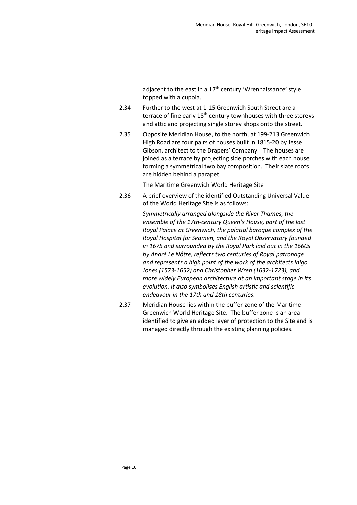adiacent to the east in a 17<sup>th</sup> century 'Wrennaissance' style topped with a cupola.

- 2.34 Further to the west at 1-15 Greenwich South Street are a terrace of fine early 18<sup>th</sup> century townhouses with three storeys and attic and projecting single storey shops onto the street.
- 2.35 Opposite Meridian House, to the north, at 199-213 Greenwich High Road are four pairs of houses built in 1815-20 by Jesse Gibson, architect to the Drapers' Company. The houses are joined as a terrace by projecting side porches with each house forming a symmetrical two bay composition. Their slate roofs are hidden behind a parapet.

The Maritime Greenwich World Heritage Site

2.36 A brief overview of the identified Outstanding Universal Value of the World Heritage Site is as follows:

> *Symmetrically arranged alongside the River Thames, the ensemble of the 17th-century Queen's House, part of the last Royal Palace at Greenwich, the palatial baroque complex of the Royal Hospital for Seamen, and the Royal Observatory founded in 1675 and surrounded by the Royal Park laid out in the 1660s by André Le Nôtre, reflects two centuries of Royal patronage and represents a high point of the work of the architects Inigo Jones (1573-1652) and Christopher Wren (1632-1723), and more widely European architecture at an important stage in its evolution. It also symbolises English artistic and scientific endeavour in the 17th and 18th centuries*.

2.37 Meridian House lies within the buffer zone of the Maritime Greenwich World Heritage Site. The buffer zone is an area identified to give an added layer of protection to the Site and is managed directly through the existing planning policies.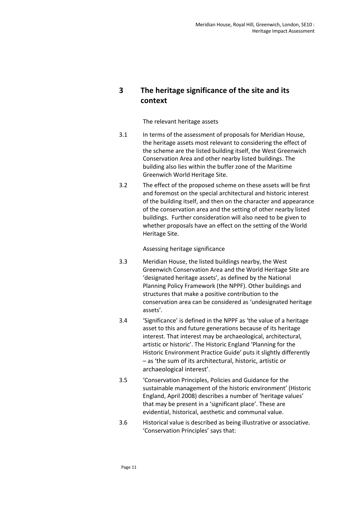## **3 The heritage significance of the site and its context**

#### The relevant heritage assets

- 3.1 In terms of the assessment of proposals for Meridian House, the heritage assets most relevant to considering the effect of the scheme are the listed building itself, the West Greenwich Conservation Area and other nearby listed buildings. The building also lies within the buffer zone of the Maritime Greenwich World Heritage Site.
- 3.2 The effect of the proposed scheme on these assets will be first and foremost on the special architectural and historic interest of the building itself, and then on the character and appearance of the conservation area and the setting of other nearby listed buildings. Further consideration will also need to be given to whether proposals have an effect on the setting of the World Heritage Site.

### Assessing heritage significance

- 3.3 Meridian House, the listed buildings nearby, the West Greenwich Conservation Area and the World Heritage Site are 'designated heritage assets', as defined by the National Planning Policy Framework (the NPPF). Other buildings and structures that make a positive contribution to the conservation area can be considered as 'undesignated heritage assets'.
- 3.4 'Significance' is defined in the NPPF as 'the value of a heritage asset to this and future generations because of its heritage interest. That interest may be archaeological, architectural, artistic or historic'. The Historic England 'Planning for the Historic Environment Practice Guide' puts it slightly differently – as 'the sum of its architectural, historic, artistic or archaeological interest'.
- 3.5 'Conservation Principles, Policies and Guidance for the sustainable management of the historic environment' (Historic England, April 2008) describes a number of 'heritage values' that may be present in a 'significant place'. These are evidential, historical, aesthetic and communal value.
- 3.6 Historical value is described as being illustrative or associative. 'Conservation Principles' says that: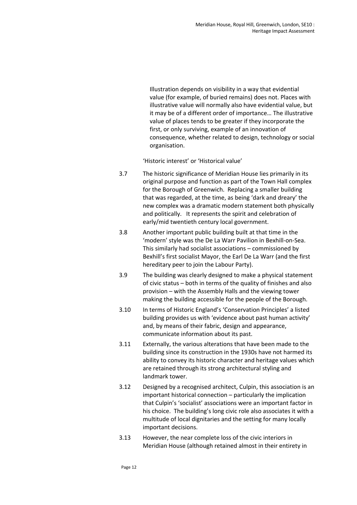Illustration depends on visibility in a way that evidential value (for example, of buried remains) does not. Places with illustrative value will normally also have evidential value, but it may be of a different order of importance… The illustrative value of places tends to be greater if they incorporate the first, or only surviving, example of an innovation of consequence, whether related to design, technology or social organisation.

'Historic interest' or 'Historical value'

- 3.7 The historic significance of Meridian House lies primarily in its original purpose and function as part of the Town Hall complex for the Borough of Greenwich. Replacing a smaller building that was regarded, at the time, as being 'dark and dreary' the new complex was a dramatic modern statement both physically and politically. It represents the spirit and celebration of early/mid twentieth century local government.
- 3.8 Another important public building built at that time in the 'modern' style was the De La Warr Pavilion in Bexhill-on-Sea. This similarly had socialist associations – commissioned by Bexhill's first socialist Mayor, the Earl De La Warr (and the first hereditary peer to join the Labour Party).
- 3.9 The building was clearly designed to make a physical statement of civic status – both in terms of the quality of finishes and also provision – with the Assembly Halls and the viewing tower making the building accessible for the people of the Borough.
- 3.10 In terms of Historic England's 'Conservation Principles' a listed building provides us with 'evidence about past human activity' and, by means of their fabric, design and appearance, communicate information about its past.
- 3.11 Externally, the various alterations that have been made to the building since its construction in the 1930s have not harmed its ability to convey its historic character and heritage values which are retained through its strong architectural styling and landmark tower.
- 3.12 Designed by a recognised architect, Culpin, this association is an important historical connection – particularly the implication that Culpin's 'socialist' associations were an important factor in his choice. The building's long civic role also associates it with a multitude of local dignitaries and the setting for many locally important decisions.
- 3.13 However, the near complete loss of the civic interiors in Meridian House (although retained almost in their entirety in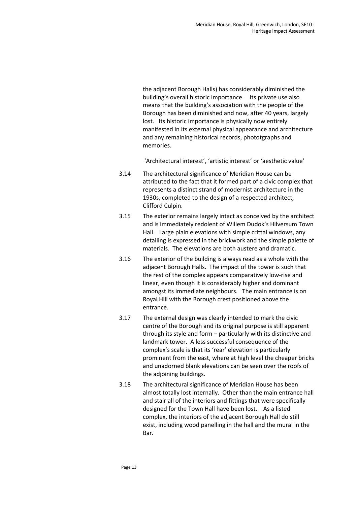the adjacent Borough Halls) has considerably diminished the building's overall historic importance. Its private use also means that the building's association with the people of the Borough has been diminished and now, after 40 years, largely lost. Its historic importance is physically now entirely manifested in its external physical appearance and architecture and any remaining historical records, phototgraphs and memories.

'Architectural interest', 'artistic interest' or 'aesthetic value'

- 3.14 The architectural significance of Meridian House can be attributed to the fact that it formed part of a civic complex that represents a distinct strand of modernist architecture in the 1930s, completed to the design of a respected architect, Clifford Culpin.
- 3.15 The exterior remains largely intact as conceived by the architect and is immediately redolent of Willem Dudok's Hilversum Town Hall. Large plain elevations with simple crittal windows, any detailing is expressed in the brickwork and the simple palette of materials. The elevations are both austere and dramatic.
- 3.16 The exterior of the building is always read as a whole with the adjacent Borough Halls. The impact of the tower is such that the rest of the complex appears comparatively low-rise and linear, even though it is considerably higher and dominant amongst its immediate neighbours. The main entrance is on Royal Hill with the Borough crest positioned above the entrance.
- 3.17 The external design was clearly intended to mark the civic centre of the Borough and its original purpose is still apparent through its style and form – particularly with its distinctive and landmark tower. A less successful consequence of the complex's scale is that its 'rear' elevation is particularly prominent from the east, where at high level the cheaper bricks and unadorned blank elevations can be seen over the roofs of the adjoining buildings.
- 3.18 The architectural significance of Meridian House has been almost totally lost internally. Other than the main entrance hall and stair all of the interiors and fittings that were specifically designed for the Town Hall have been lost. As a listed complex, the interiors of the adjacent Borough Hall do still exist, including wood panelling in the hall and the mural in the Bar.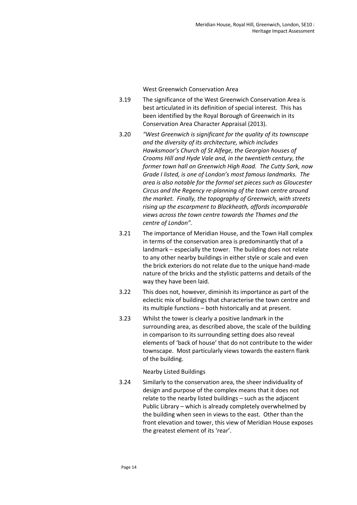West Greenwich Conservation Area

- 3.19 The significance of the West Greenwich Conservation Area is best articulated in its definition of special interest. This has been identified by the Royal Borough of Greenwich in its Conservation Area Character Appraisal (2013).
- 3.20 *"West Greenwich is significant for the quality of its townscape and the diversity of its architecture, which includes Hawksmoor's Church of St Alfege, the Georgian houses of Crooms Hill and Hyde Vale and, in the twentieth century, the former town hall on Greenwich High Road. The Cutty Sark, now Grade I listed, is one of London's most famous landmarks. The area is also notable for the formal set pieces such as Gloucester Circus and the Regency re-planning of the town centre around the market. Finally, the topography of Greenwich, with streets rising up the escarpment to Blackheath, affords incomparable views across the town centre towards the Thames and the centre of London".*
- 3.21 The importance of Meridian House, and the Town Hall complex in terms of the conservation area is predominantly that of a landmark – especially the tower. The building does not relate to any other nearby buildings in either style or scale and even the brick exteriors do not relate due to the unique hand-made nature of the bricks and the stylistic patterns and details of the way they have been laid.
- 3.22 This does not, however, diminish its importance as part of the eclectic mix of buildings that characterise the town centre and its multiple functions – both historically and at present.
- 3.23 Whilst the tower is clearly a positive landmark in the surrounding area, as described above, the scale of the building in comparison to its surrounding setting does also reveal elements of 'back of house' that do not contribute to the wider townscape. Most particularly views towards the eastern flank of the building.

### Nearby Listed Buildings

3.24 Similarly to the conservation area, the sheer individuality of design and purpose of the complex means that it does not relate to the nearby listed buildings – such as the adjacent Public Library – which is already completely overwhelmed by the building when seen in views to the east. Other than the front elevation and tower, this view of Meridian House exposes the greatest element of its 'rear'.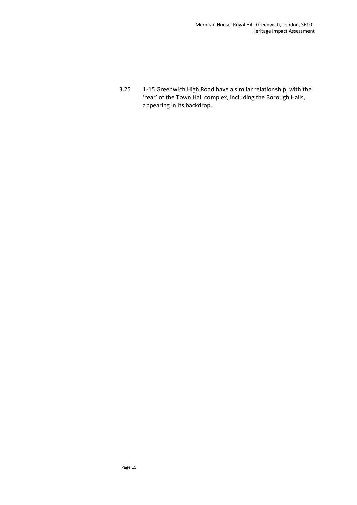3.25 1-15 Greenwich High Road have a similar relationship, with the 'rear' of the Town Hall complex, including the Borough Halls, appearing in its backdrop.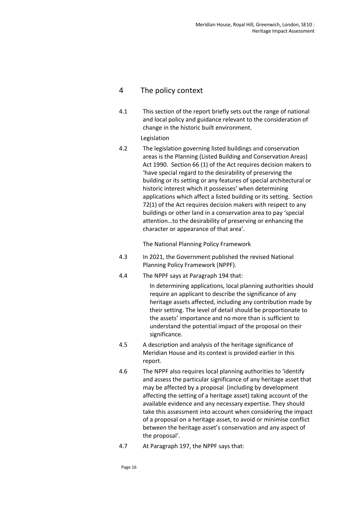### 4 The policy context

4.1 This section of the report briefly sets out the range of national and local policy and guidance relevant to the consideration of change in the historic built environment.

### Legislation

4.2 The legislation governing listed buildings and conservation areas is the Planning (Listed Building and Conservation Areas) Act 1990. Section 66 (1) of the Act requires decision makers to 'have special regard to the desirability of preserving the building or its setting or any features of special architectural or historic interest which it possesses' when determining applications which affect a listed building or its setting. Section 72(1) of the Act requires decision makers with respect to any buildings or other land in a conservation area to pay 'special attention…to the desirability of preserving or enhancing the character or appearance of that area'.

The National Planning Policy Framework

- 4.3 In 2021, the Government published the revised National Planning Policy Framework (NPPF).
- 4.4 The NPPF says at Paragraph 194 that:

In determining applications, local planning authorities should require an applicant to describe the significance of any heritage assets affected, including any contribution made by their setting. The level of detail should be proportionate to the assets' importance and no more than is sufficient to understand the potential impact of the proposal on their significance.

- 4.5 A description and analysis of the heritage significance of Meridian House and its context is provided earlier in this report.
- 4.6 The NPPF also requires local planning authorities to 'identify and assess the particular significance of any heritage asset that may be affected by a proposal (including by development affecting the setting of a heritage asset) taking account of the available evidence and any necessary expertise. They should take this assessment into account when considering the impact of a proposal on a heritage asset, to avoid or minimise conflict between the heritage asset's conservation and any aspect of the proposal'.
- 4.7 At Paragraph 197, the NPPF says that: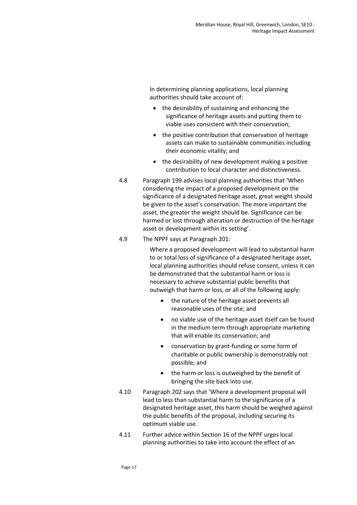In determining planning applications, local planning authorities should take account of:

- the desirability of sustaining and enhancing the significance of heritage assets and putting them to viable uses consistent with their conservation;
- the positive contribution that conservation of heritage assets can make to sustainable communities including their economic vitality; and
- the desirability of new development making a positive contribution to local character and distinctiveness.
- 4.8 Paragraph 199 advises local planning authorities that 'When considering the impact of a proposed development on the significance of a designated heritage asset, great weight should be given to the asset's conservation. The more important the asset, the greater the weight should be. Significance can be harmed or lost through alteration or destruction of the heritage asset or development within its setting'.
- 4.9 The NPPF says at Paragraph 201:

Where a proposed development will lead to substantial harm to or total loss of significance of a designated heritage asset, local planning authorities should refuse consent, unless it can be demonstrated that the substantial harm or loss is necessary to achieve substantial public benefits that outweigh that harm or loss, or all of the following apply:

- the nature of the heritage asset prevents all reasonable uses of the site; and
- no viable use of the heritage asset itself can be found in the medium term through appropriate marketing that will enable its conservation; and
- conservation by grant-funding or some form of charitable or public ownership is demonstrably not possible; and
- the harm or loss is outweighed by the benefit of bringing the site back into use.
- 4.10 Paragraph 202 says that 'Where a development proposal will lead to less than substantial harm to the significance of a designated heritage asset, this harm should be weighed against the public benefits of the proposal, including securing its optimum viable use.
- 4.11 Further advice within Section 16 of the NPPF urges local planning authorities to take into account the effect of an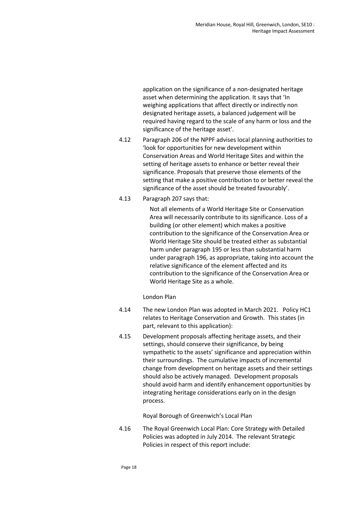application on the significance of a non-designated heritage asset when determining the application. It says that 'In weighing applications that affect directly or indirectly non designated heritage assets, a balanced judgement will be required having regard to the scale of any harm or loss and the significance of the heritage asset'.

- 4.12 Paragraph 206 of the NPPF advises local planning authorities to 'look for opportunities for new development within Conservation Areas and World Heritage Sites and within the setting of heritage assets to enhance or better reveal their significance. Proposals that preserve those elements of the setting that make a positive contribution to or better reveal the significance of the asset should be treated favourably'.
- 4.13 Paragraph 207 says that:

Not all elements of a World Heritage Site or Conservation Area will necessarily contribute to its significance. Loss of a building (or other element) which makes a positive contribution to the significance of the Conservation Area or World Heritage Site should be treated either as substantial harm under paragraph 195 or less than substantial harm under paragraph 196, as appropriate, taking into account the relative significance of the element affected and its contribution to the significance of the Conservation Area or World Heritage Site as a whole.

London Plan

- 4.14 The new London Plan was adopted in March 2021. Policy HC1 relates to Heritage Conservation and Growth. This states (in part, relevant to this application):
- 4.15 Development proposals affecting heritage assets, and their settings, should conserve their significance, by being sympathetic to the assets' significance and appreciation within their surroundings. The cumulative impacts of incremental change from development on heritage assets and their settings should also be actively managed. Development proposals should avoid harm and identify enhancement opportunities by integrating heritage considerations early on in the design process.

Royal Borough of Greenwich's Local Plan

4.16 The Royal Greenwich Local Plan: Core Strategy with Detailed Policies was adopted in July 2014. The relevant Strategic Policies in respect of this report include: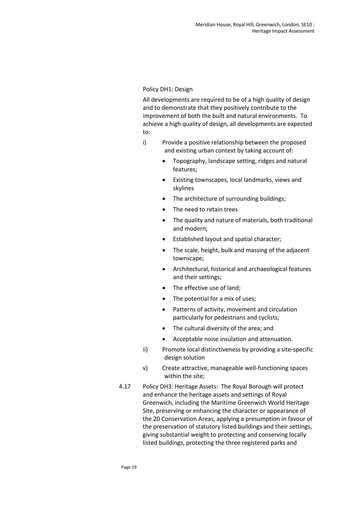### Policy DH1: Design

All developments are required to be of a high quality of design and to demonstrate that they positively contribute to the improvement of both the built and natural environments. To achieve a high quality of design, all developments are expected to:

- i) Provide a positive relationship between the proposed and existing urban context by taking account of:
	- Topography, landscape setting, ridges and natural features;
	- Existing townscapes, local landmarks, views and skylines
	- The architecture of surrounding buildings;
	- The need to retain trees
	- The quality and nature of materials, both traditional and modern;
	- Established layout and spatial character;
	- The scale, height, bulk and massing of the adjacent townscape;
	- Architectural, historical and archaeological features and their settings;
	- The effective use of land;
	- The potential for a mix of uses;
	- Patterns of activity, movement and circulation particularly for pedestrians and cyclists;
	- The cultural diversity of the area; and
	- Acceptable noise insulation and attenuation.
- ii) Promote local distinctiveness by providing a site-specific design solution
- v) Create attractive, manageable well-functioning spaces within the site;
- 4.17 Policy DH3: Heritage Assets: The Royal Borough will protect and enhance the heritage assets and settings of Royal Greenwich, including the Maritime Greenwich World Heritage Site, preserving or enhancing the character or appearance of the 20 Conservation Areas, applying a presumption in favour of the preservation of statutory listed buildings and their settings, giving substantial weight to protecting and conserving locally listed buildings, protecting the three registered parks and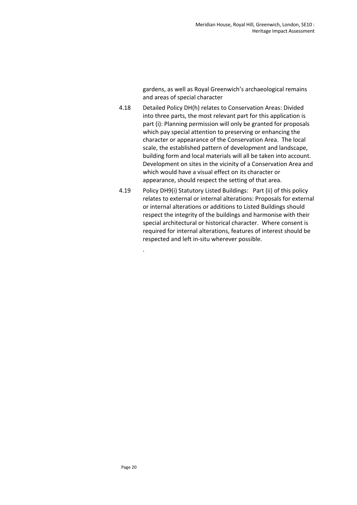gardens, as well as Royal Greenwich's archaeological remains and areas of special character

- 4.18 Detailed Policy DH(h) relates to Conservation Areas: Divided into three parts, the most relevant part for this application is part (i): Planning permission will only be granted for proposals which pay special attention to preserving or enhancing the character or appearance of the Conservation Area. The local scale, the established pattern of development and landscape, building form and local materials will all be taken into account. Development on sites in the vicinity of a Conservation Area and which would have a visual effect on its character or appearance, should respect the setting of that area.
- 4.19 Policy DH9(i) Statutory Listed Buildings: Part (ii) of this policy relates to external or internal alterations: Proposals for external or internal alterations or additions to Listed Buildings should respect the integrity of the buildings and harmonise with their special architectural or historical character. Where consent is required for internal alterations, features of interest should be respected and left in-situ wherever possible.

.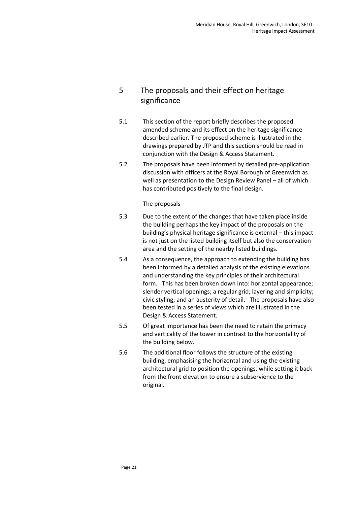## 5 The proposals and their effect on heritage significance

- 5.1 This section of the report briefly describes the proposed amended scheme and its effect on the heritage significance described earlier. The proposed scheme is illustrated in the drawings prepared by JTP and this section should be read in conjunction with the Design & Access Statement.
- 5.2 The proposals have been informed by detailed pre-application discussion with officers at the Royal Borough of Greenwich as well as presentation to the Design Review Panel – all of which has contributed positively to the final design.

### The proposals

- 5.3 Due to the extent of the changes that have taken place inside the building perhaps the key impact of the proposals on the building's physical heritage significance is external – this impact is not just on the listed building itself but also the conservation area and the setting of the nearby listed buildings.
- 5.4 As a consequence, the approach to extending the building has been informed by a detailed analysis of the existing elevations and understanding the key principles of their architectural form. This has been broken down into: horizontal appearance; slender vertical openings; a regular grid; layering and simplicity; civic styling; and an austerity of detail. The proposals have also been tested in a series of views which are illustrated in the Design & Access Statement.
- 5.5 Of great importance has been the need to retain the primacy and verticality of the tower in contrast to the horizontality of the building below.
- 5.6 The additional floor follows the structure of the existing building, emphasising the horizontal and using the existing architectural grid to position the openings, while setting it back from the front elevation to ensure a subservience to the original.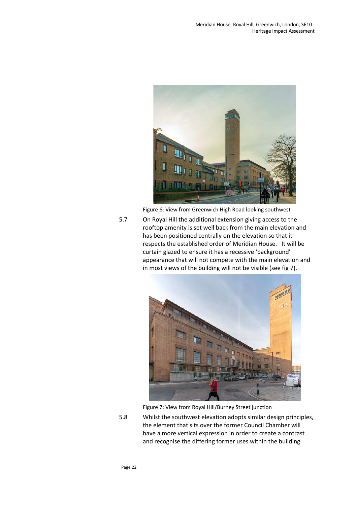

Figure 6: View from Greenwich High Road looking southwest

5.7 On Royal Hill the additional extension giving access to the rooftop amenity is set well back from the main elevation and has been positioned centrally on the elevation so that it respects the established order of Meridian House. It will be curtain glazed to ensure it has a recessive 'background' appearance that will not compete with the main elevation and in most views of the building will not be visible (see fig 7).



Figure 7: View from Royal Hill/Burney Street junction

5.8 Whilst the southwest elevation adopts similar design principles, the element that sits over the former Council Chamber will have a more vertical expression in order to create a contrast and recognise the differing former uses within the building.

Page 22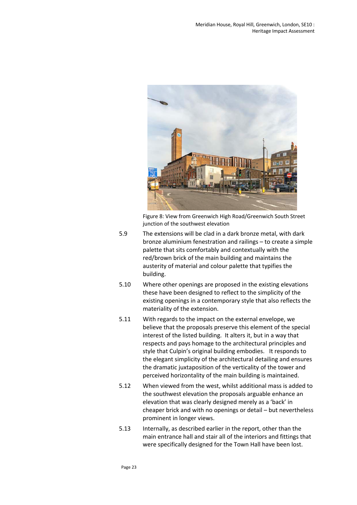

Figure 8: View from Greenwich High Road/Greenwich South Street junction of the southwest elevation

- 5.9 The extensions will be clad in a dark bronze metal, with dark bronze aluminium fenestration and railings – to create a simple palette that sits comfortably and contextually with the red/brown brick of the main building and maintains the austerity of material and colour palette that typifies the building.
- 5.10 Where other openings are proposed in the existing elevations these have been designed to reflect to the simplicity of the existing openings in a contemporary style that also reflects the materiality of the extension.
- 5.11 With regards to the impact on the external envelope, we believe that the proposals preserve this element of the special interest of the listed building. It alters it, but in a way that respects and pays homage to the architectural principles and style that Culpin's original building embodies. It responds to the elegant simplicity of the architectural detailing and ensures the dramatic juxtaposition of the verticality of the tower and perceived horizontality of the main building is maintained.
- 5.12 When viewed from the west, whilst additional mass is added to the southwest elevation the proposals arguable enhance an elevation that was clearly designed merely as a 'back' in cheaper brick and with no openings or detail – but nevertheless prominent in longer views.
- 5.13 Internally, as described earlier in the report, other than the main entrance hall and stair all of the interiors and fittings that were specifically designed for the Town Hall have been lost.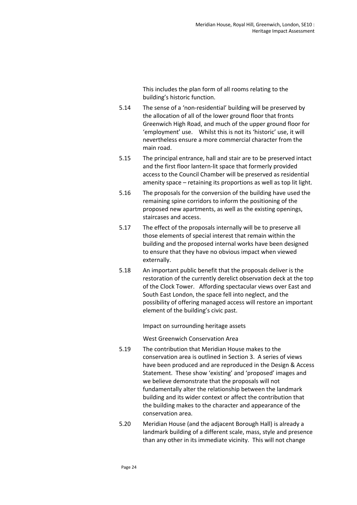This includes the plan form of all rooms relating to the building's historic function.

- 5.14 The sense of a 'non-residential' building will be preserved by the allocation of all of the lower ground floor that fronts Greenwich High Road, and much of the upper ground floor for 'employment' use. Whilst this is not its 'historic' use, it will nevertheless ensure a more commercial character from the main road.
- 5.15 The principal entrance, hall and stair are to be preserved intact and the first floor lantern-lit space that formerly provided access to the Council Chamber will be preserved as residential amenity space – retaining its proportions as well as top lit light.
- 5.16 The proposals for the conversion of the building have used the remaining spine corridors to inform the positioning of the proposed new apartments, as well as the existing openings, staircases and access.
- 5.17 The effect of the proposals internally will be to preserve all those elements of special interest that remain within the building and the proposed internal works have been designed to ensure that they have no obvious impact when viewed externally.
- 5.18 An important public benefit that the proposals deliver is the restoration of the currently derelict observation deck at the top of the Clock Tower. Affording spectacular views over East and South East London, the space fell into neglect, and the possibility of offering managed access will restore an important element of the building's civic past.

Impact on surrounding heritage assets

West Greenwich Conservation Area

- 5.19 The contribution that Meridian House makes to the conservation area is outlined in Section 3. A series of views have been produced and are reproduced in the Design & Access Statement. These show 'existing' and 'proposed' images and we believe demonstrate that the proposals will not fundamentally alter the relationship between the landmark building and its wider context or affect the contribution that the building makes to the character and appearance of the conservation area.
- 5.20 Meridian House (and the adjacent Borough Hall) is already a landmark building of a different scale, mass, style and presence than any other in its immediate vicinity. This will not change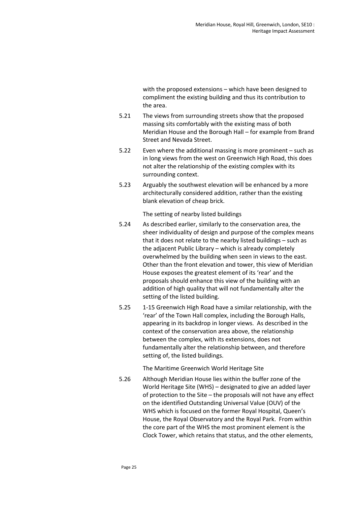with the proposed extensions – which have been designed to compliment the existing building and thus its contribution to the area.

- 5.21 The views from surrounding streets show that the proposed massing sits comfortably with the existing mass of both Meridian House and the Borough Hall – for example from Brand Street and Nevada Street.
- 5.22 Even where the additional massing is more prominent such as in long views from the west on Greenwich High Road, this does not alter the relationship of the existing complex with its surrounding context.
- 5.23 Arguably the southwest elevation will be enhanced by a more architecturally considered addition, rather than the existing blank elevation of cheap brick.

The setting of nearby listed buildings

- 5.24 As described earlier, similarly to the conservation area, the sheer individuality of design and purpose of the complex means that it does not relate to the nearby listed buildings – such as the adjacent Public Library – which is already completely overwhelmed by the building when seen in views to the east. Other than the front elevation and tower, this view of Meridian House exposes the greatest element of its 'rear' and the proposals should enhance this view of the building with an addition of high quality that will not fundamentally alter the setting of the listed building.
- 5.25 1-15 Greenwich High Road have a similar relationship, with the 'rear' of the Town Hall complex, including the Borough Halls, appearing in its backdrop in longer views. As described in the context of the conservation area above, the relationship between the complex, with its extensions, does not fundamentally alter the relationship between, and therefore setting of, the listed buildings.

The Maritime Greenwich World Heritage Site

5.26 Although Meridian House lies within the buffer zone of the World Heritage Site (WHS) – designated to give an added layer of protection to the Site – the proposals will not have any effect on the identified Outstanding Universal Value (OUV) of the WHS which is focused on the former Royal Hospital, Queen's House, the Royal Observatory and the Royal Park. From within the core part of the WHS the most prominent element is the Clock Tower, which retains that status, and the other elements,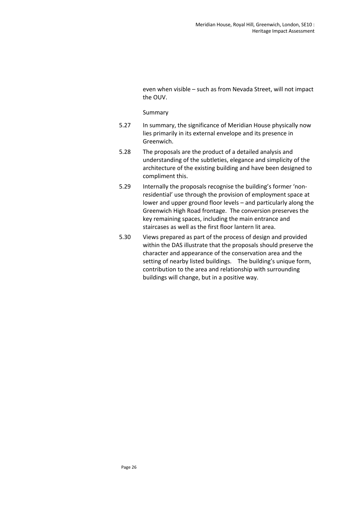even when visible – such as from Nevada Street, will not impact the OUV.

#### Summary

- 5.27 In summary, the significance of Meridian House physically now lies primarily in its external envelope and its presence in Greenwich.
- 5.28 The proposals are the product of a detailed analysis and understanding of the subtleties, elegance and simplicity of the architecture of the existing building and have been designed to compliment this.
- 5.29 Internally the proposals recognise the building's former 'nonresidential' use through the provision of employment space at lower and upper ground floor levels – and particularly along the Greenwich High Road frontage. The conversion preserves the key remaining spaces, including the main entrance and staircases as well as the first floor lantern lit area.
- 5.30 Views prepared as part of the process of design and provided within the DAS illustrate that the proposals should preserve the character and appearance of the conservation area and the setting of nearby listed buildings. The building's unique form, contribution to the area and relationship with surrounding buildings will change, but in a positive way.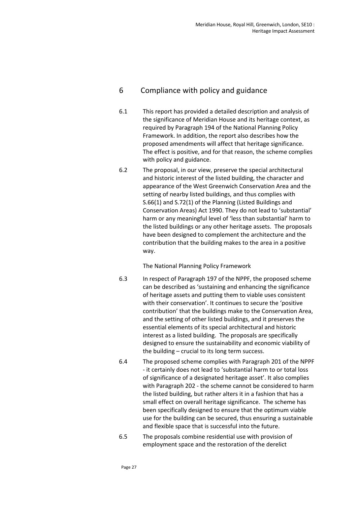### 6 Compliance with policy and guidance

- 6.1 This report has provided a detailed description and analysis of the significance of Meridian House and its heritage context, as required by Paragraph 194 of the National Planning Policy Framework. In addition, the report also describes how the proposed amendments will affect that heritage significance. The effect is positive, and for that reason, the scheme complies with policy and guidance.
- 6.2 The proposal, in our view, preserve the special architectural and historic interest of the listed building, the character and appearance of the West Greenwich Conservation Area and the setting of nearby listed buildings, and thus complies with S.66(1) and S.72(1) of the Planning (Listed Buildings and Conservation Areas) Act 1990. They do not lead to 'substantial' harm or any meaningful level of 'less than substantial' harm to the listed buildings or any other heritage assets. The proposals have been designed to complement the architecture and the contribution that the building makes to the area in a positive way.

The National Planning Policy Framework

- 6.3 In respect of Paragraph 197 of the NPPF, the proposed scheme can be described as 'sustaining and enhancing the significance of heritage assets and putting them to viable uses consistent with their conservation'. It continues to secure the 'positive contribution' that the buildings make to the Conservation Area, and the setting of other listed buildings, and it preserves the essential elements of its special architectural and historic interest as a listed building. The proposals are specifically designed to ensure the sustainability and economic viability of the building – crucial to its long term success.
- 6.4 The proposed scheme complies with Paragraph 201 of the NPPF - it certainly does not lead to 'substantial harm to or total loss of significance of a designated heritage asset'. It also complies with Paragraph 202 - the scheme cannot be considered to harm the listed building, but rather alters it in a fashion that has a small effect on overall heritage significance. The scheme has been specifically designed to ensure that the optimum viable use for the building can be secured, thus ensuring a sustainable and flexible space that is successful into the future.
- 6.5 The proposals combine residential use with provision of employment space and the restoration of the derelict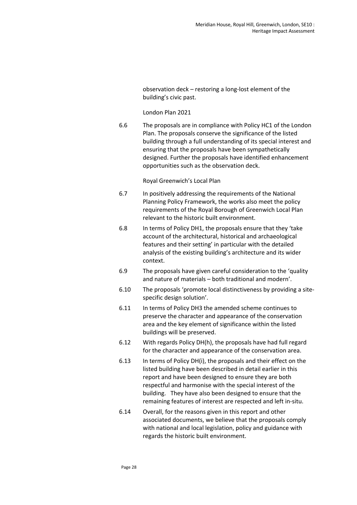observation deck – restoring a long-lost element of the building's civic past.

#### London Plan 2021

6.6 The proposals are in compliance with Policy HC1 of the London Plan. The proposals conserve the significance of the listed building through a full understanding of its special interest and ensuring that the proposals have been sympathetically designed. Further the proposals have identified enhancement opportunities such as the observation deck.

### Royal Greenwich's Local Plan

- 6.7 In positively addressing the requirements of the National Planning Policy Framework, the works also meet the policy requirements of the Royal Borough of Greenwich Local Plan relevant to the historic built environment.
- 6.8 In terms of Policy DH1, the proposals ensure that they 'take account of the architectural, historical and archaeological features and their setting' in particular with the detailed analysis of the existing building's architecture and its wider context.
- 6.9 The proposals have given careful consideration to the 'quality and nature of materials – both traditional and modern'.
- 6.10 The proposals 'promote local distinctiveness by providing a sitespecific design solution'.
- 6.11 In terms of Policy DH3 the amended scheme continues to preserve the character and appearance of the conservation area and the key element of significance within the listed buildings will be preserved.
- 6.12 With regards Policy DH(h), the proposals have had full regard for the character and appearance of the conservation area.
- 6.13 In terms of Policy DH(i), the proposals and their effect on the listed building have been described in detail earlier in this report and have been designed to ensure they are both respectful and harmonise with the special interest of the building. They have also been designed to ensure that the remaining features of interest are respected and left in-situ.
- 6.14 Overall, for the reasons given in this report and other associated documents, we believe that the proposals comply with national and local legislation, policy and guidance with regards the historic built environment.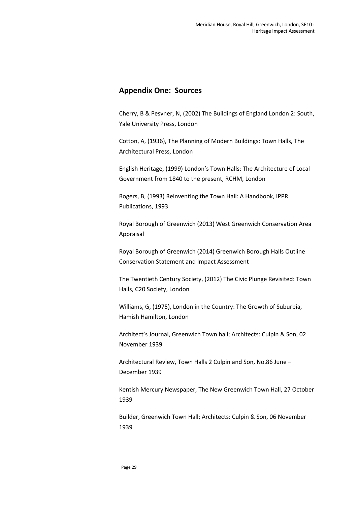### **Appendix One: Sources**

Cherry, B & Pesvner, N, (2002) The Buildings of England London 2: South, Yale University Press, London

Cotton, A, (1936), The Planning of Modern Buildings: Town Halls, The Architectural Press, London

English Heritage, (1999) London's Town Halls: The Architecture of Local Government from 1840 to the present, RCHM, London

Rogers, B, (1993) Reinventing the Town Hall: A Handbook, IPPR Publications, 1993

Royal Borough of Greenwich (2013) West Greenwich Conservation Area Appraisal

Royal Borough of Greenwich (2014) Greenwich Borough Halls Outline Conservation Statement and Impact Assessment

The Twentieth Century Society, (2012) The Civic Plunge Revisited: Town Halls, C20 Society, London

Williams, G, (1975), London in the Country: The Growth of Suburbia, Hamish Hamilton, London

Architect's Journal, Greenwich Town hall; Architects: Culpin & Son, 02 November 1939

Architectural Review, Town Halls 2 Culpin and Son, No.86 June – December 1939

Kentish Mercury Newspaper, The New Greenwich Town Hall, 27 October 1939

Builder, Greenwich Town Hall; Architects: Culpin & Son, 06 November 1939